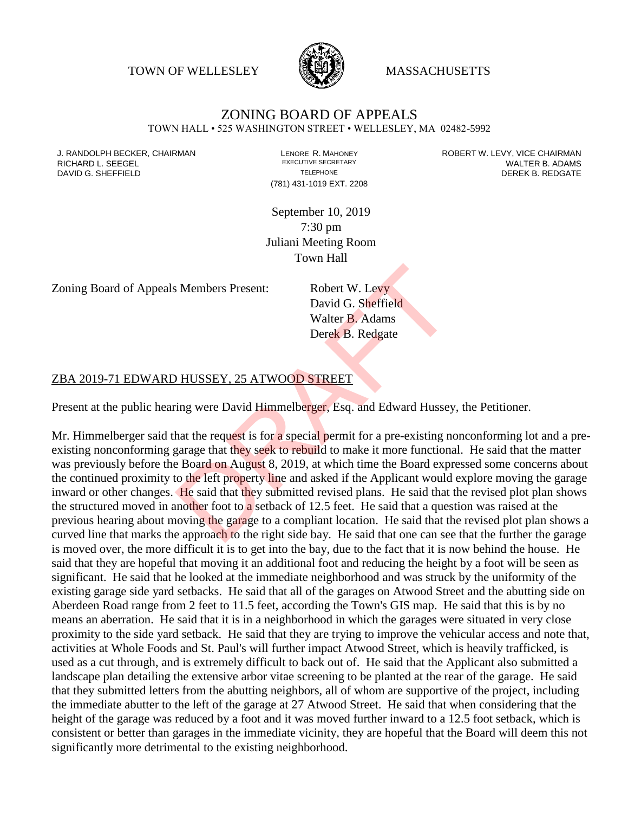TOWN OF WELLESLEY **WASSACHUSETTS** 



## ZONING BOARD OF APPEALS

TOWN HALL • 525 WASHINGTON STREET • WELLESLEY, MA 02482-5992

(781) 431-1019 EXT. 2208

J. RANDOLPH BECKER, CHAIRMAN LENORE R. MAHONEY ROBERT W. LEVY, VICE CHAIRMAN RICHARD L. SEEGEL **EXECUTIVE SECRETARY CONTROLL SEEGETARY** WALTER B. ADAMS DAVID G. SHEFFIELD **TELEPHONE** TELEPHONE TELEPHONE **TELEPHONE DEREK B. REDGATE** 

> September 10, 2019 7:30 pm Juliani Meeting Room Town Hall

Zoning Board of Appeals Members Present: Robert W. Levy

David G. Sheffield Walter B. Adams Derek B. Redgate

## ZBA 2019-71 EDWARD HUSSEY, 25 ATWOOD STREET

Present at the public hearing were David Himmelberger, Esq. and Edward Hussey, the Petitioner.

Mr. Himmelberger said that the request is for a special permit for a pre-existing nonconforming lot and a preexisting nonconforming garage that they seek to rebuild to make it more functional. He said that the matter was previously before the Board on August 8, 2019, at which time the Board expressed some concerns about the continued proximity to the left property line and asked if the Applicant would explore moving the garage inward or other changes. He said that they submitted revised plans. He said that the revised plot plan shows the structured moved in another foot to a setback of 12.5 feet. He said that a question was raised at the previous hearing about moving the garage to a compliant location. He said that the revised plot plan shows a curved line that marks the approach to the right side bay. He said that one can see that the further the garage is moved over, the more difficult it is to get into the bay, due to the fact that it is now behind the house. He said that they are hopeful that moving it an additional foot and reducing the height by a foot will be seen as significant. He said that he looked at the immediate neighborhood and was struck by the uniformity of the existing garage side yard setbacks. He said that all of the garages on Atwood Street and the abutting side on Aberdeen Road range from 2 feet to 11.5 feet, according the Town's GIS map. He said that this is by no means an aberration. He said that it is in a neighborhood in which the garages were situated in very close proximity to the side yard setback. He said that they are trying to improve the vehicular access and note that, activities at Whole Foods and St. Paul's will further impact Atwood Street, which is heavily trafficked, is used as a cut through, and is extremely difficult to back out of. He said that the Applicant also submitted a landscape plan detailing the extensive arbor vitae screening to be planted at the rear of the garage. He said that they submitted letters from the abutting neighbors, all of whom are supportive of the project, including the immediate abutter to the left of the garage at 27 Atwood Street. He said that when considering that the height of the garage was reduced by a foot and it was moved further inward to a 12.5 foot setback, which is consistent or better than garages in the immediate vicinity, they are hopeful that the Board will deem this not significantly more detrimental to the existing neighborhood. S Members Present:<br>
David G. Sheffield<br>
Walter B. Adams<br>
Derek B. Redgate<br>
DHUSSEY, 25 ATWOOD STREET<br>
ing were David Himmelberger, Esq. and Edward Hussey<br>
that the request is for a special permit for a pre-existing n<br>
para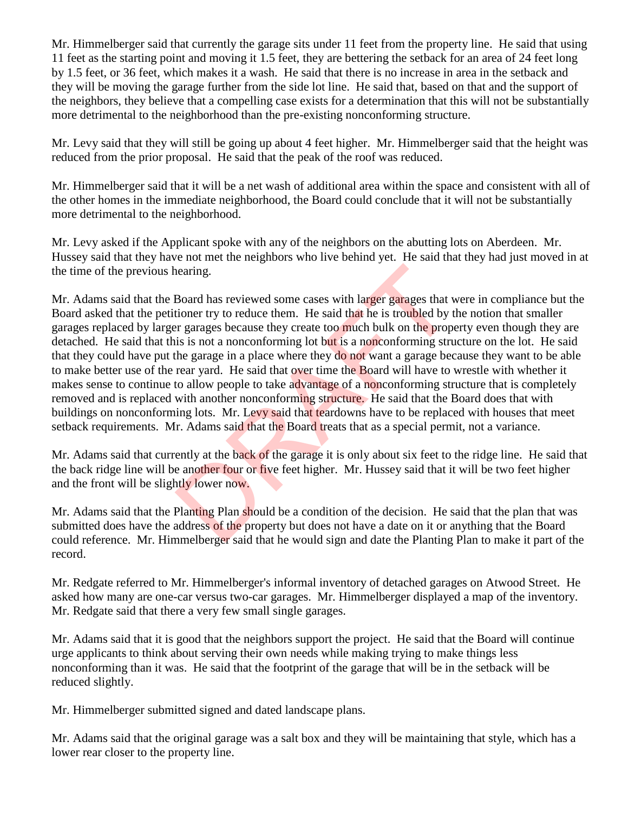Mr. Himmelberger said that currently the garage sits under 11 feet from the property line. He said that using 11 feet as the starting point and moving it 1.5 feet, they are bettering the setback for an area of 24 feet long by 1.5 feet, or 36 feet, which makes it a wash. He said that there is no increase in area in the setback and they will be moving the garage further from the side lot line. He said that, based on that and the support of the neighbors, they believe that a compelling case exists for a determination that this will not be substantially more detrimental to the neighborhood than the pre-existing nonconforming structure.

Mr. Levy said that they will still be going up about 4 feet higher. Mr. Himmelberger said that the height was reduced from the prior proposal. He said that the peak of the roof was reduced.

Mr. Himmelberger said that it will be a net wash of additional area within the space and consistent with all of the other homes in the immediate neighborhood, the Board could conclude that it will not be substantially more detrimental to the neighborhood.

Mr. Levy asked if the Applicant spoke with any of the neighbors on the abutting lots on Aberdeen. Mr. Hussey said that they have not met the neighbors who live behind yet. He said that they had just moved in at the time of the previous hearing.

Mr. Adams said that the Board has reviewed some cases with larger garages that were in compliance but the Board asked that the petitioner try to reduce them. He said that he is troubled by the notion that smaller garages replaced by larger garages because they create too much bulk on the property even though they are detached. He said that this is not a nonconforming lot but is a nonconforming structure on the lot. He said that they could have put the garage in a place where they do not want a garage because they want to be able to make better use of the rear yard. He said that over time the Board will have to wrestle with whether it makes sense to continue to allow people to take advantage of a nonconforming structure that is completely removed and is replaced with another nonconforming structure. He said that the Board does that with buildings on nonconforming lots. Mr. Levy said that teardowns have to be replaced with houses that meet setback requirements. Mr. Adams said that the Board treats that as a special permit, not a variance. hearing.<br>Board has reviewed some cases with larger garages that vitioner try to reduce them. He said that he is troubled by the propis is not a nonconforming lot but is a nonconforming structure garage in a place where the

Mr. Adams said that currently at the back of the garage it is only about six feet to the ridge line. He said that the back ridge line will be another four or five feet higher. Mr. Hussey said that it will be two feet higher and the front will be slightly lower now.

Mr. Adams said that the Planting Plan should be a condition of the decision. He said that the plan that was submitted does have the address of the property but does not have a date on it or anything that the Board could reference. Mr. Himmelberger said that he would sign and date the Planting Plan to make it part of the record.

Mr. Redgate referred to Mr. Himmelberger's informal inventory of detached garages on Atwood Street. He asked how many are one-car versus two-car garages. Mr. Himmelberger displayed a map of the inventory. Mr. Redgate said that there a very few small single garages.

Mr. Adams said that it is good that the neighbors support the project. He said that the Board will continue urge applicants to think about serving their own needs while making trying to make things less nonconforming than it was. He said that the footprint of the garage that will be in the setback will be reduced slightly.

Mr. Himmelberger submitted signed and dated landscape plans.

Mr. Adams said that the original garage was a salt box and they will be maintaining that style, which has a lower rear closer to the property line.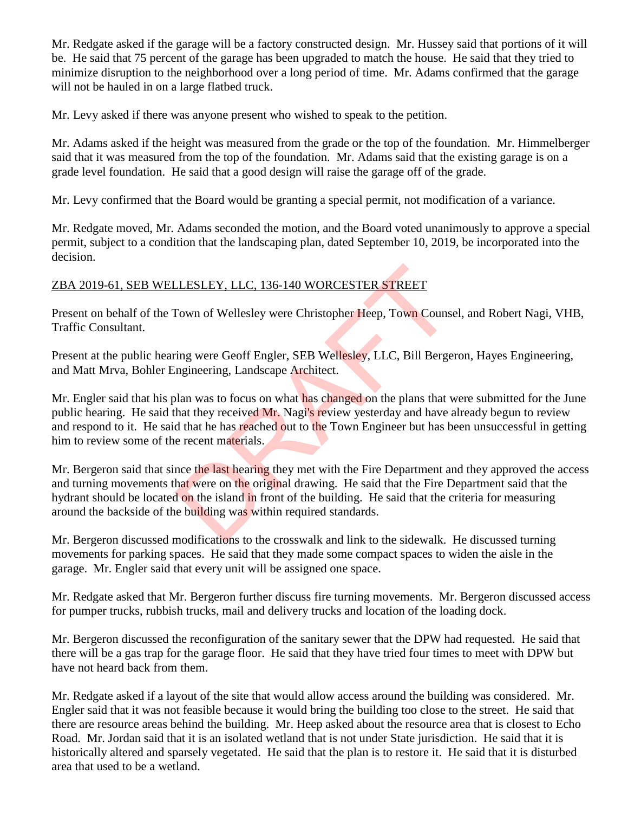Mr. Redgate asked if the garage will be a factory constructed design. Mr. Hussey said that portions of it will be. He said that 75 percent of the garage has been upgraded to match the house. He said that they tried to minimize disruption to the neighborhood over a long period of time. Mr. Adams confirmed that the garage will not be hauled in on a large flatbed truck.

Mr. Levy asked if there was anyone present who wished to speak to the petition.

Mr. Adams asked if the height was measured from the grade or the top of the foundation. Mr. Himmelberger said that it was measured from the top of the foundation. Mr. Adams said that the existing garage is on a grade level foundation. He said that a good design will raise the garage off of the grade.

Mr. Levy confirmed that the Board would be granting a special permit, not modification of a variance.

Mr. Redgate moved, Mr. Adams seconded the motion, and the Board voted unanimously to approve a special permit, subject to a condition that the landscaping plan, dated September 10, 2019, be incorporated into the decision.

## ZBA 2019-61, SEB WELLESLEY, LLC, 136-140 WORCESTER STREET

Present on behalf of the Town of Wellesley were Christopher Heep, Town Counsel, and Robert Nagi, VHB, Traffic Consultant.

Present at the public hearing were Geoff Engler, SEB Wellesley, LLC, Bill Bergeron, Hayes Engineering, and Matt Mrva, Bohler Engineering, Landscape Architect.

Mr. Engler said that his plan was to focus on what has changed on the plans that were submitted for the June public hearing. He said that they received Mr. Nagi's review yesterday and have already begun to review and respond to it. He said that he has reached out to the Town Engineer but has been unsuccessful in getting him to review some of the recent materials. LESLEY, LLC, 136-140 WORCESTER STREET<br>
Fown of Wellesley were Christopher Heep, Town Counse<br>
ing were Geoff Engler, SEB Wellesley, LLC, Bill Berge<br>
ing were Geoff Engler, SEB Wellesley, LLC, Bill Berge<br>
ngineering, Landsca

Mr. Bergeron said that since the last hearing they met with the Fire Department and they approved the access and turning movements that were on the original drawing. He said that the Fire Department said that the hydrant should be located on the island in front of the building. He said that the criteria for measuring around the backside of the building was within required standards.

Mr. Bergeron discussed modifications to the crosswalk and link to the sidewalk. He discussed turning movements for parking spaces. He said that they made some compact spaces to widen the aisle in the garage. Mr. Engler said that every unit will be assigned one space.

Mr. Redgate asked that Mr. Bergeron further discuss fire turning movements. Mr. Bergeron discussed access for pumper trucks, rubbish trucks, mail and delivery trucks and location of the loading dock.

Mr. Bergeron discussed the reconfiguration of the sanitary sewer that the DPW had requested. He said that there will be a gas trap for the garage floor. He said that they have tried four times to meet with DPW but have not heard back from them.

Mr. Redgate asked if a layout of the site that would allow access around the building was considered. Mr. Engler said that it was not feasible because it would bring the building too close to the street. He said that there are resource areas behind the building. Mr. Heep asked about the resource area that is closest to Echo Road. Mr. Jordan said that it is an isolated wetland that is not under State jurisdiction. He said that it is historically altered and sparsely vegetated. He said that the plan is to restore it. He said that it is disturbed area that used to be a wetland.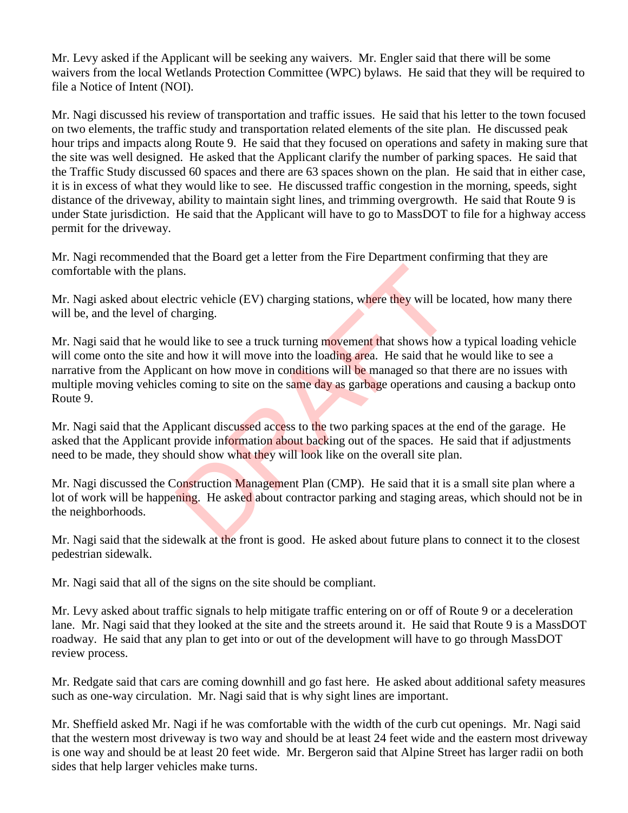Mr. Levy asked if the Applicant will be seeking any waivers. Mr. Engler said that there will be some waivers from the local Wetlands Protection Committee (WPC) bylaws. He said that they will be required to file a Notice of Intent (NOI).

Mr. Nagi discussed his review of transportation and traffic issues. He said that his letter to the town focused on two elements, the traffic study and transportation related elements of the site plan. He discussed peak hour trips and impacts along Route 9. He said that they focused on operations and safety in making sure that the site was well designed. He asked that the Applicant clarify the number of parking spaces. He said that the Traffic Study discussed 60 spaces and there are 63 spaces shown on the plan. He said that in either case, it is in excess of what they would like to see. He discussed traffic congestion in the morning, speeds, sight distance of the driveway, ability to maintain sight lines, and trimming overgrowth. He said that Route 9 is under State jurisdiction. He said that the Applicant will have to go to MassDOT to file for a highway access permit for the driveway.

Mr. Nagi recommended that the Board get a letter from the Fire Department confirming that they are comfortable with the plans.

Mr. Nagi asked about electric vehicle (EV) charging stations, where they will be located, how many there will be, and the level of charging.

Mr. Nagi said that he would like to see a truck turning movement that shows how a typical loading vehicle will come onto the site and how it will move into the loading area. He said that he would like to see a narrative from the Applicant on how move in conditions will be managed so that there are no issues with multiple moving vehicles coming to site on the same day as garbage operations and causing a backup onto Route 9. ns.<br>
as.<br>
actric vehicle (EV) charging stations, where they will be l<br>
be tharging.<br>
and like to see a truck turning movement that shows how<br>
and how it will move into the loading area. He said that h<br>
scanning to site on

Mr. Nagi said that the Applicant discussed access to the two parking spaces at the end of the garage. He asked that the Applicant provide information about backing out of the spaces. He said that if adjustments need to be made, they should show what they will look like on the overall site plan.

Mr. Nagi discussed the Construction Management Plan (CMP). He said that it is a small site plan where a lot of work will be happening. He asked about contractor parking and staging areas, which should not be in the neighborhoods.

Mr. Nagi said that the sidewalk at the front is good. He asked about future plans to connect it to the closest pedestrian sidewalk.

Mr. Nagi said that all of the signs on the site should be compliant.

Mr. Levy asked about traffic signals to help mitigate traffic entering on or off of Route 9 or a deceleration lane. Mr. Nagi said that they looked at the site and the streets around it. He said that Route 9 is a MassDOT roadway. He said that any plan to get into or out of the development will have to go through MassDOT review process.

Mr. Redgate said that cars are coming downhill and go fast here. He asked about additional safety measures such as one-way circulation. Mr. Nagi said that is why sight lines are important.

Mr. Sheffield asked Mr. Nagi if he was comfortable with the width of the curb cut openings. Mr. Nagi said that the western most driveway is two way and should be at least 24 feet wide and the eastern most driveway is one way and should be at least 20 feet wide. Mr. Bergeron said that Alpine Street has larger radii on both sides that help larger vehicles make turns.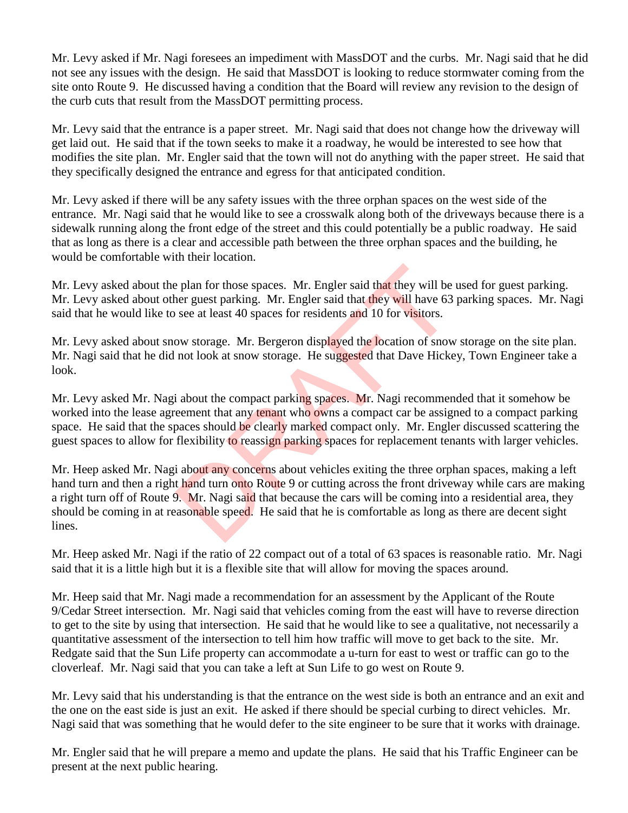Mr. Levy asked if Mr. Nagi foresees an impediment with MassDOT and the curbs. Mr. Nagi said that he did not see any issues with the design. He said that MassDOT is looking to reduce stormwater coming from the site onto Route 9. He discussed having a condition that the Board will review any revision to the design of the curb cuts that result from the MassDOT permitting process.

Mr. Levy said that the entrance is a paper street. Mr. Nagi said that does not change how the driveway will get laid out. He said that if the town seeks to make it a roadway, he would be interested to see how that modifies the site plan. Mr. Engler said that the town will not do anything with the paper street. He said that they specifically designed the entrance and egress for that anticipated condition.

Mr. Levy asked if there will be any safety issues with the three orphan spaces on the west side of the entrance. Mr. Nagi said that he would like to see a crosswalk along both of the driveways because there is a sidewalk running along the front edge of the street and this could potentially be a public roadway. He said that as long as there is a clear and accessible path between the three orphan spaces and the building, he would be comfortable with their location.

Mr. Levy asked about the plan for those spaces. Mr. Engler said that they will be used for guest parking. Mr. Levy asked about other guest parking. Mr. Engler said that they will have 63 parking spaces. Mr. Nagi said that he would like to see at least 40 spaces for residents and 10 for visitors.

Mr. Levy asked about snow storage. Mr. Bergeron displayed the location of snow storage on the site plan. Mr. Nagi said that he did not look at snow storage. He suggested that Dave Hickey, Town Engineer take a look.

Mr. Levy asked Mr. Nagi about the compact parking spaces. Mr. Nagi recommended that it somehow be worked into the lease agreement that any tenant who owns a compact car be assigned to a compact parking space. He said that the spaces should be clearly marked compact only. Mr. Engler discussed scattering the guest spaces to allow for flexibility to reassign parking spaces for replacement tenants with larger vehicles.

Mr. Heep asked Mr. Nagi about any concerns about vehicles exiting the three orphan spaces, making a left hand turn and then a right hand turn onto Route 9 or cutting across the front driveway while cars are making a right turn off of Route 9. Mr. Nagi said that because the cars will be coming into a residential area, they should be coming in at reasonable speed. He said that he is comfortable as long as there are decent sight lines. e plan for those spaces. Mr. Engler said that they will be<br>ner guest parking. Mr. Engler said that they will have 63<br>see at least 40 spaces for residents and 10 for visitors.<br>ow storage. Mr. Bergeron displayed the location

Mr. Heep asked Mr. Nagi if the ratio of 22 compact out of a total of 63 spaces is reasonable ratio. Mr. Nagi said that it is a little high but it is a flexible site that will allow for moving the spaces around.

Mr. Heep said that Mr. Nagi made a recommendation for an assessment by the Applicant of the Route 9/Cedar Street intersection. Mr. Nagi said that vehicles coming from the east will have to reverse direction to get to the site by using that intersection. He said that he would like to see a qualitative, not necessarily a quantitative assessment of the intersection to tell him how traffic will move to get back to the site. Mr. Redgate said that the Sun Life property can accommodate a u-turn for east to west or traffic can go to the cloverleaf. Mr. Nagi said that you can take a left at Sun Life to go west on Route 9.

Mr. Levy said that his understanding is that the entrance on the west side is both an entrance and an exit and the one on the east side is just an exit. He asked if there should be special curbing to direct vehicles. Mr. Nagi said that was something that he would defer to the site engineer to be sure that it works with drainage.

Mr. Engler said that he will prepare a memo and update the plans. He said that his Traffic Engineer can be present at the next public hearing.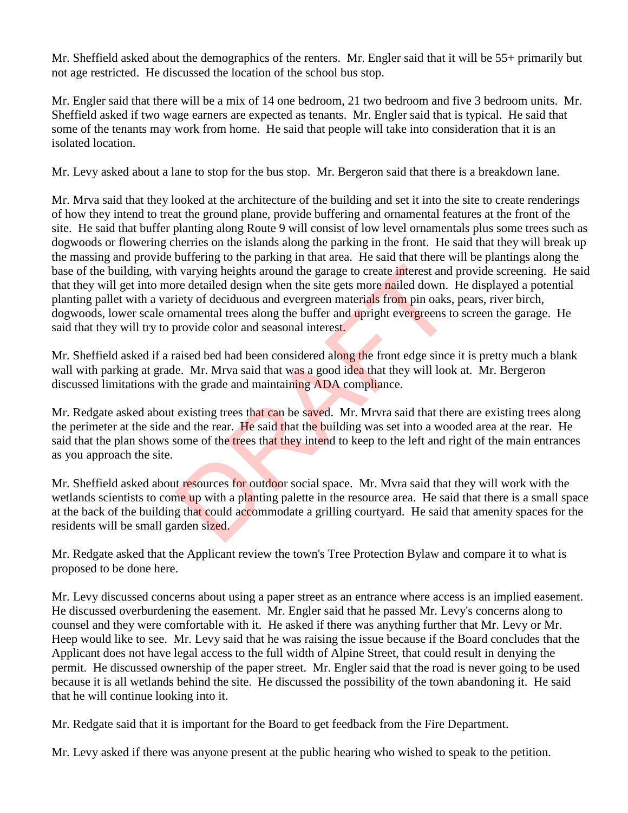Mr. Sheffield asked about the demographics of the renters. Mr. Engler said that it will be 55+ primarily but not age restricted. He discussed the location of the school bus stop.

Mr. Engler said that there will be a mix of 14 one bedroom, 21 two bedroom and five 3 bedroom units. Mr. Sheffield asked if two wage earners are expected as tenants. Mr. Engler said that is typical. He said that some of the tenants may work from home. He said that people will take into consideration that it is an isolated location.

Mr. Levy asked about a lane to stop for the bus stop. Mr. Bergeron said that there is a breakdown lane.

Mr. Mrva said that they looked at the architecture of the building and set it into the site to create renderings of how they intend to treat the ground plane, provide buffering and ornamental features at the front of the site. He said that buffer planting along Route 9 will consist of low level ornamentals plus some trees such as dogwoods or flowering cherries on the islands along the parking in the front. He said that they will break up the massing and provide buffering to the parking in that area. He said that there will be plantings along the base of the building, with varying heights around the garage to create interest and provide screening. He said that they will get into more detailed design when the site gets more nailed down. He displayed a potential planting pallet with a variety of deciduous and evergreen materials from pin oaks, pears, river birch, dogwoods, lower scale ornamental trees along the buffer and upright evergreens to screen the garage. He said that they will try to provide color and seasonal interest. In varying heights around the garage to create interest and<br>the detailed design when the site gets more nailed down.<br>Lety of deciduous and evergreen materials from pin oaks,<br>rnamental trees along the buffer and upright eve

Mr. Sheffield asked if a raised bed had been considered along the front edge since it is pretty much a blank wall with parking at grade. Mr. Mrva said that was a good idea that they will look at. Mr. Bergeron discussed limitations with the grade and maintaining ADA compliance.

Mr. Redgate asked about existing trees that can be saved. Mr. Mrvra said that there are existing trees along the perimeter at the side and the rear. He said that the building was set into a wooded area at the rear. He said that the plan shows some of the trees that they intend to keep to the left and right of the main entrances as you approach the site.

Mr. Sheffield asked about resources for outdoor social space. Mr. Mvra said that they will work with the wetlands scientists to come up with a planting palette in the resource area. He said that there is a small space at the back of the building that could accommodate a grilling courtyard. He said that amenity spaces for the residents will be small garden sized.

Mr. Redgate asked that the Applicant review the town's Tree Protection Bylaw and compare it to what is proposed to be done here.

Mr. Levy discussed concerns about using a paper street as an entrance where access is an implied easement. He discussed overburdening the easement. Mr. Engler said that he passed Mr. Levy's concerns along to counsel and they were comfortable with it. He asked if there was anything further that Mr. Levy or Mr. Heep would like to see. Mr. Levy said that he was raising the issue because if the Board concludes that the Applicant does not have legal access to the full width of Alpine Street, that could result in denying the permit. He discussed ownership of the paper street. Mr. Engler said that the road is never going to be used because it is all wetlands behind the site. He discussed the possibility of the town abandoning it. He said that he will continue looking into it.

Mr. Redgate said that it is important for the Board to get feedback from the Fire Department.

Mr. Levy asked if there was anyone present at the public hearing who wished to speak to the petition.